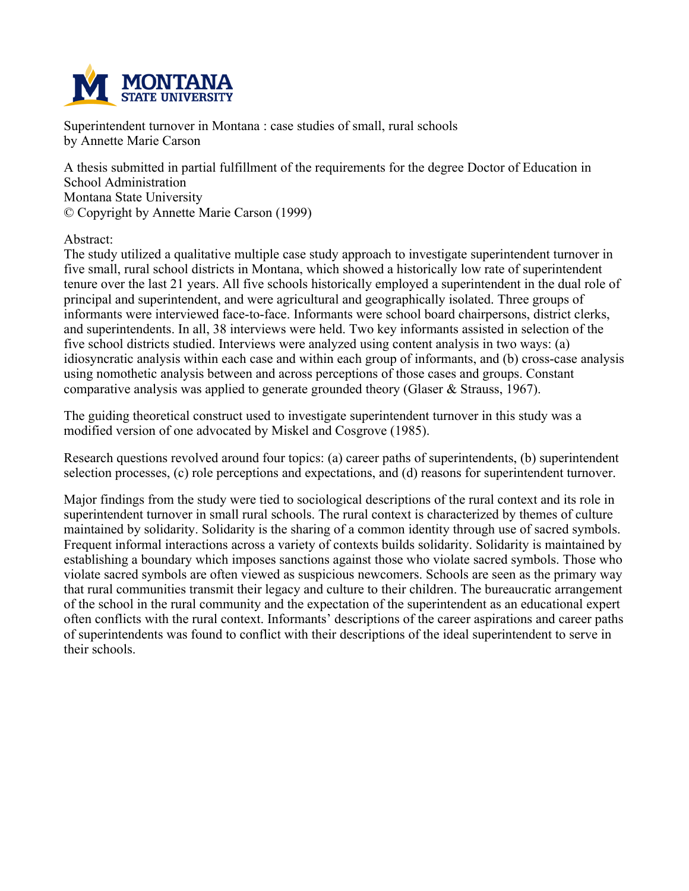

**Superintendent turnover in Montana : case studies of small, rural schools by Annette Marie Carson**

**A thesis submitted in partial fulfillment of the requirements for the degree Doctor of Education in School Administration Montana State University © Copyright by Annette Marie Carson (1999)**

**Abstract:**

**The study utilized a qualitative multiple case study approach to investigate superintendent turnover in five small, rural school districts in Montana, which showed a historically low rate of superintendent** tenure over the last 21 years. All five schools historically employed a superintendent in the dual role of **principal and superintendent, and were agricultural and geographically isolated. Three groups of informants were interviewed face-to-face. Informants were school board chairpersons, district clerks, and superintendents. In all, 38 interviews were held. Two key informants assisted in selection of the five school districts studied. Interviews were analyzed using content analysis in two ways: (a) idiosyncratic analysis within each case and within each group of informants, and (b) cross-case analysis using nomothetic analysis between and across perceptions of those cases and groups. Constant comparative analysis was applied to generate grounded theory (Glaser & Strauss, 1967).**

**The guiding theoretical construct used to investigate superintendent turnover in this study was a modified version of one advocated by Miskel and Cosgrove (1985).**

**Research questions revolved around four topics: (a) career paths of superintendents, (b) superintendent selection processes, (c) role perceptions and expectations, and (d) reasons for superintendent turnover.**

Major findings from the study were tied to sociological descriptions of the rural context and its role in **superintendent turnover in small rural schools. The rural context is characterized by themes of culture maintained by solidarity. Solidarity is the sharing of a common identity through use of sacred symbols. Frequent informal interactions across a variety of contexts builds solidarity. Solidarity is maintained by establishing a boundary which imposes sanctions against those who violate sacred symbols. Those who violate sacred symbols are often viewed as suspicious newcomers. Schools are seen as the primary way that rural communities transmit their legacy and culture to their children. The bureaucratic arrangement of the school in the rural community and the expectation of the superintendent as an educational expert often conflicts with the rural context. Informants' descriptions of the career aspirations and career paths of superintendents was found to conflict with their descriptions of the ideal superintendent to serve in their schools.**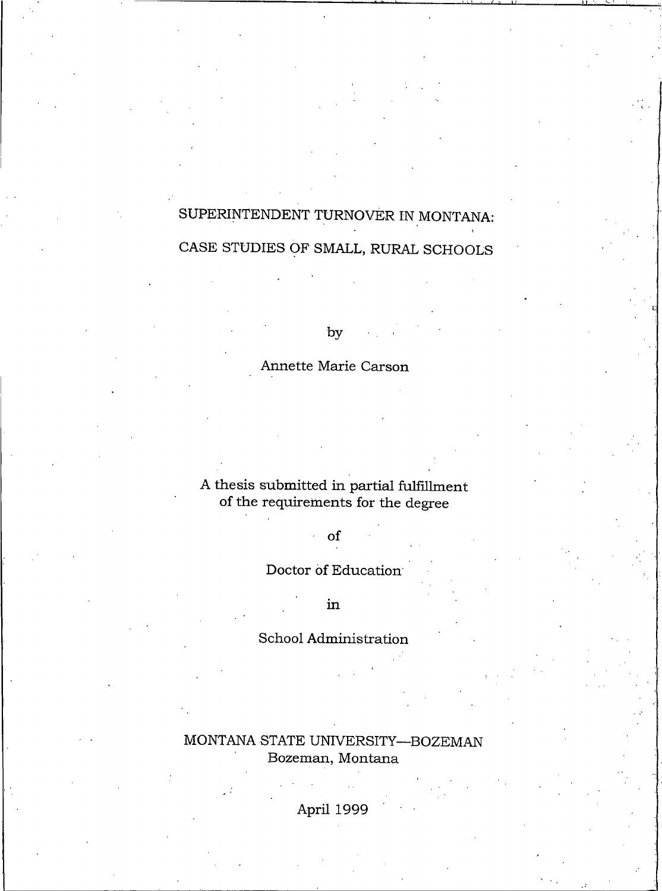# SUPERINTENDENT TURNOVER IN MONTANA:

# CASE STUDIES OF SMALL, RURAL SCHOOLS

by

# Annette Marie Carson

A thesis submitted in partial fulfillment of the requirements for the degree

# of

 $\hat{\mathcal{L}}$ 

Doctor of Education

in

# School Administration

MONTANA STATE UNIVERSITY-BOZEMAN Bozeman, Montana

April 1999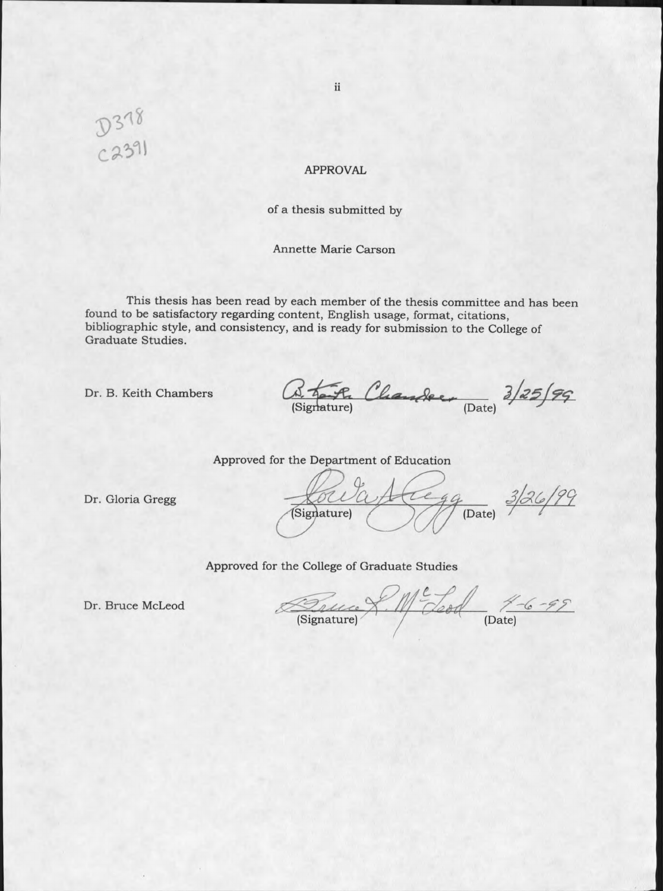D378<br>C2391

#### **APPROVAL**

#### of a thesis submitted by

#### Annette Marie Carson

This thesis has been read by each member of the thesis committee and has been found to be satisfactory regarding content, English usage, format, citations, bibliographic style, and consistency, and is ready for submission to the College of Graduate Studies.

Dr. B. Keith Chambers

Fr Chander Date) 3/25/99

Approved for the Department of Education

Dr. Gloria Gregg

 $79$  (Date)  $3/26/99$ (Signature)

Approved for the College of Graduate Studies

Dr. Bruce McLeod

Succe X. Me Leod 4-6-99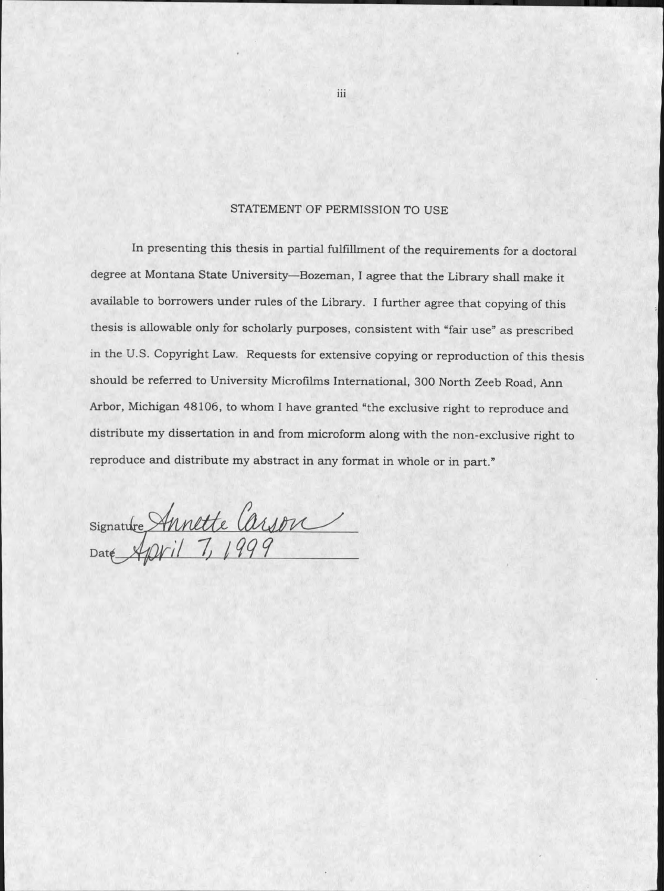# STATEMENT OF PERMISSION TO USE

In presenting this thesis in partial fulfillment of the requirements for a doctoral degree at Montana State University-Bozeman, I agree that the Library shall make it available to borrowers under rules of the Library. I further agree that copying of this thesis is allowable only for scholarly purposes, consistent with "fair use" as prescribed in the U.S. Copyright Law. Requests for extensive copying or reproduction of this thesis should be referred to University Microfilms International, 300 North Zeeb Road, Ann Arbor, Michigan 48106, to whom I have granted "the exclusive right to reproduce and distribute my dissertation in and from microform along with the non-exclusive right to reproduce and distribute my abstract in any format in whole or in part."

Signature Annette Carson

iii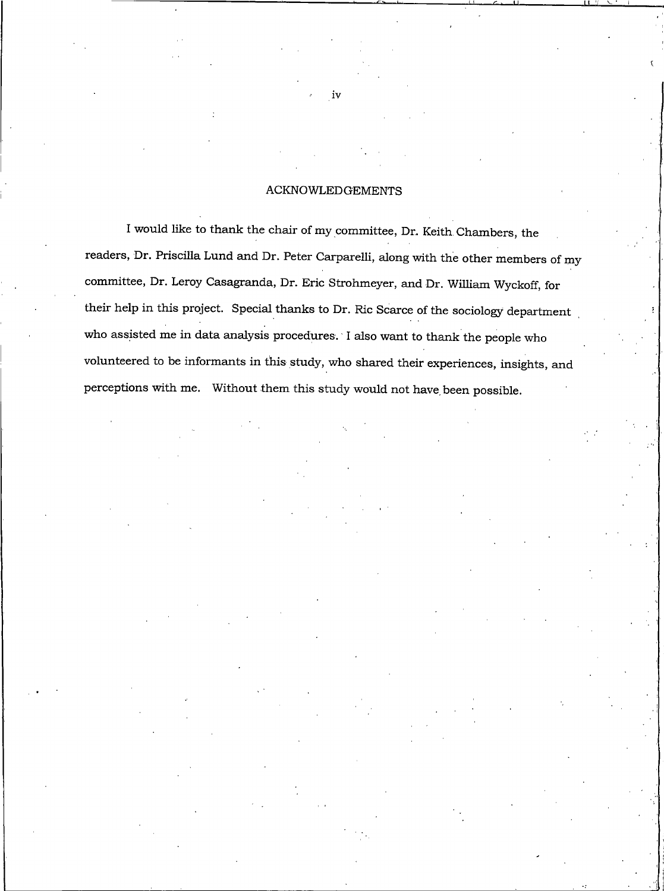#### **ACKNOWLEDGEMENTS**

I would like to thank the chair of my committee, Dr. Keith Chambers, the readers, Dr. Priscilla Lund and Dr. Peter Carparelli, along with the other members of my committee, Dr. Leroy Casagranda, Dr. Eric Strohmeyer, and Dr. William Wyckoff, for their help in this project. Special thanks to Dr. Ric Scarce of the sociology department who assisted me in data analysis procedures. I also want to thank the people who volunteered to be informants in this study, who shared their experiences, insights, and perceptions with me. Without them this study would not have been possible.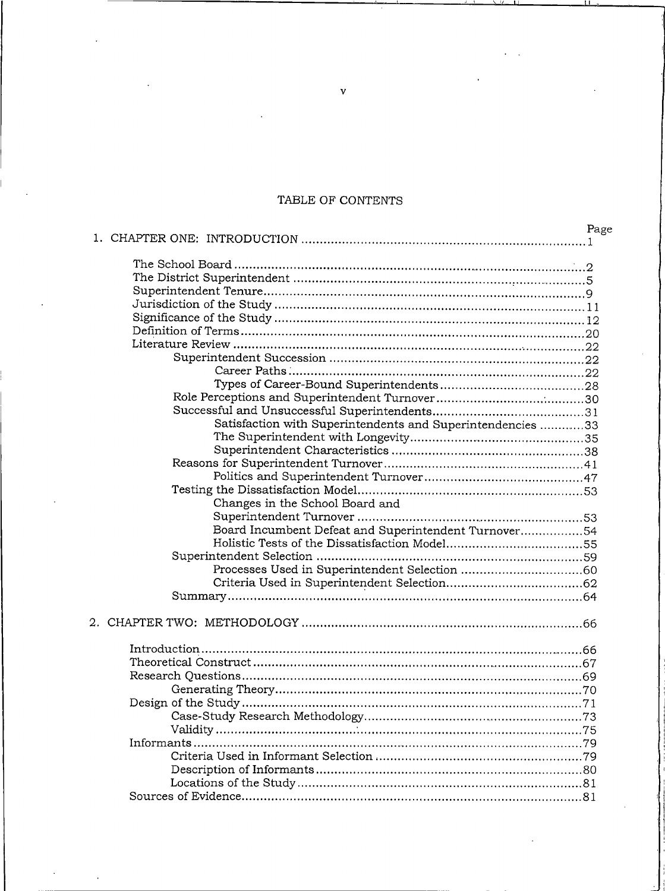# TABLE OF CONTENTS

|                                                            | Page |
|------------------------------------------------------------|------|
|                                                            |      |
|                                                            |      |
|                                                            |      |
|                                                            |      |
|                                                            |      |
|                                                            |      |
|                                                            |      |
|                                                            |      |
|                                                            |      |
|                                                            |      |
|                                                            |      |
|                                                            |      |
|                                                            |      |
|                                                            |      |
| Satisfaction with Superintendents and Superintendencies 33 |      |
|                                                            |      |
|                                                            |      |
|                                                            |      |
|                                                            |      |
|                                                            |      |
| Changes in the School Board and                            |      |
|                                                            |      |
| Board Incumbent Defeat and Superintendent Turnover54       |      |
|                                                            |      |
|                                                            |      |
|                                                            |      |
|                                                            |      |
|                                                            |      |
|                                                            |      |
|                                                            |      |
|                                                            |      |
|                                                            |      |
|                                                            |      |
|                                                            |      |
|                                                            |      |
|                                                            |      |
|                                                            |      |
|                                                            |      |
|                                                            |      |
|                                                            |      |
|                                                            |      |
|                                                            |      |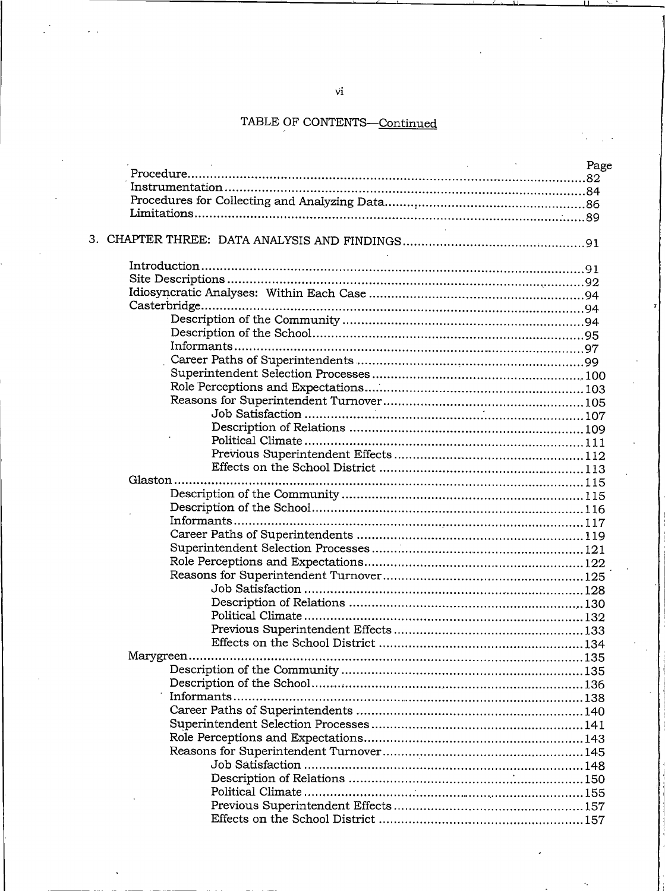|           | Page |
|-----------|------|
|           |      |
|           |      |
|           |      |
|           |      |
|           |      |
|           |      |
|           |      |
|           |      |
|           |      |
|           |      |
|           |      |
|           |      |
|           |      |
|           |      |
|           |      |
|           |      |
|           |      |
|           |      |
|           |      |
|           |      |
|           |      |
|           |      |
|           |      |
| Glaston   |      |
|           |      |
|           |      |
|           |      |
|           |      |
|           |      |
|           |      |
|           |      |
|           |      |
|           |      |
|           |      |
|           |      |
|           |      |
| Marygreen |      |
|           |      |
|           |      |
|           |      |
|           |      |
|           |      |
|           |      |
|           |      |
|           |      |
|           |      |
|           |      |
|           |      |
|           |      |
|           |      |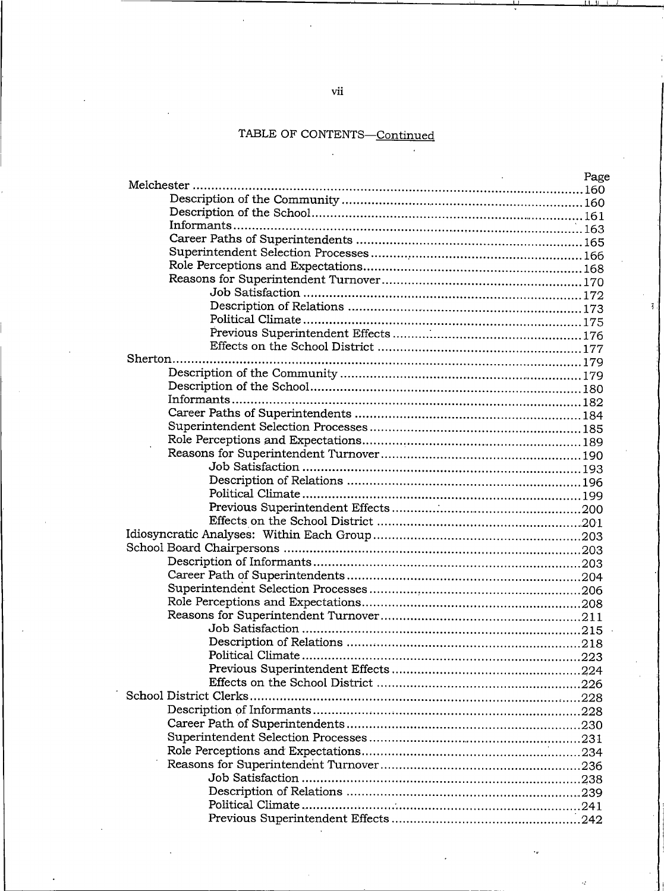$\ddot{\phantom{a}}$ 

| Page |
|------|
|      |
|      |
|      |
|      |
|      |
|      |
|      |
|      |
|      |
|      |
|      |
|      |
|      |
|      |
|      |
|      |
|      |
|      |
|      |
|      |
|      |
|      |
|      |
|      |
|      |
|      |
|      |
|      |
|      |
|      |
|      |
|      |
|      |
|      |
|      |
|      |
|      |
|      |
| -226 |
|      |
|      |
|      |
|      |
|      |
|      |
|      |
|      |
|      |
|      |
|      |

vii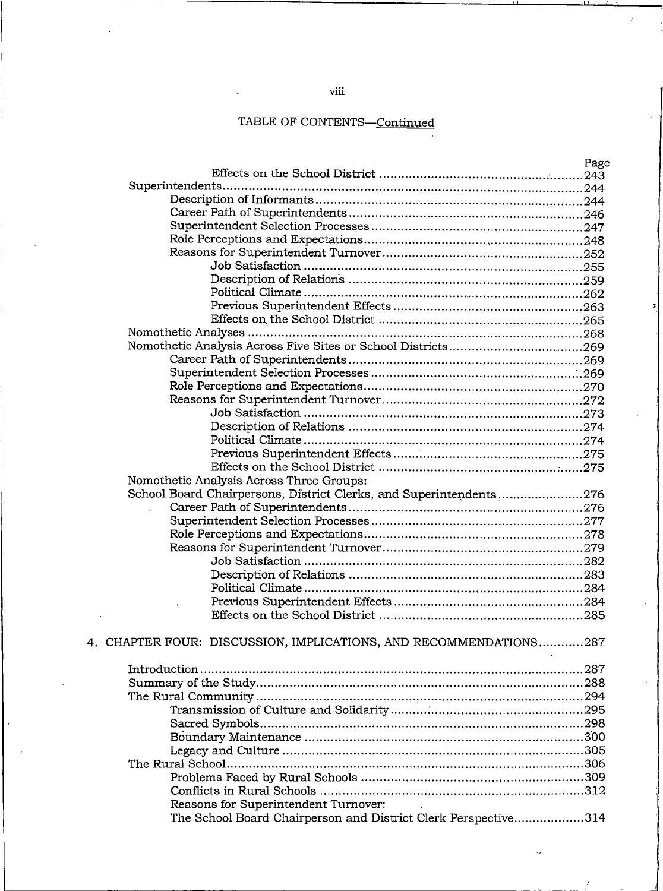|                                                                    | Page |
|--------------------------------------------------------------------|------|
|                                                                    |      |
|                                                                    |      |
|                                                                    |      |
|                                                                    |      |
|                                                                    |      |
|                                                                    |      |
|                                                                    |      |
|                                                                    |      |
|                                                                    |      |
|                                                                    |      |
|                                                                    |      |
|                                                                    |      |
|                                                                    |      |
|                                                                    |      |
|                                                                    |      |
|                                                                    |      |
|                                                                    |      |
|                                                                    |      |
|                                                                    |      |
|                                                                    |      |
|                                                                    |      |
|                                                                    |      |
|                                                                    |      |
| Nomothetic Analysis Across Three Groups:                           |      |
| School Board Chairpersons, District Clerks, and Superintendents276 |      |
|                                                                    |      |
|                                                                    |      |
|                                                                    |      |
|                                                                    |      |
|                                                                    |      |
|                                                                    |      |
|                                                                    |      |
|                                                                    |      |
|                                                                    |      |
|                                                                    |      |
| 4. CHAPTER FOUR: DISCUSSION, IMPLICATIONS, AND RECOMMENDATIONS287  |      |
|                                                                    |      |
|                                                                    |      |
|                                                                    |      |
|                                                                    |      |
|                                                                    |      |
|                                                                    |      |
|                                                                    |      |
|                                                                    |      |
|                                                                    |      |
|                                                                    |      |
|                                                                    |      |
| Reasons for Superintendent Turnover:                               |      |
| The School Board Chairperson and District Clerk Perspective314     |      |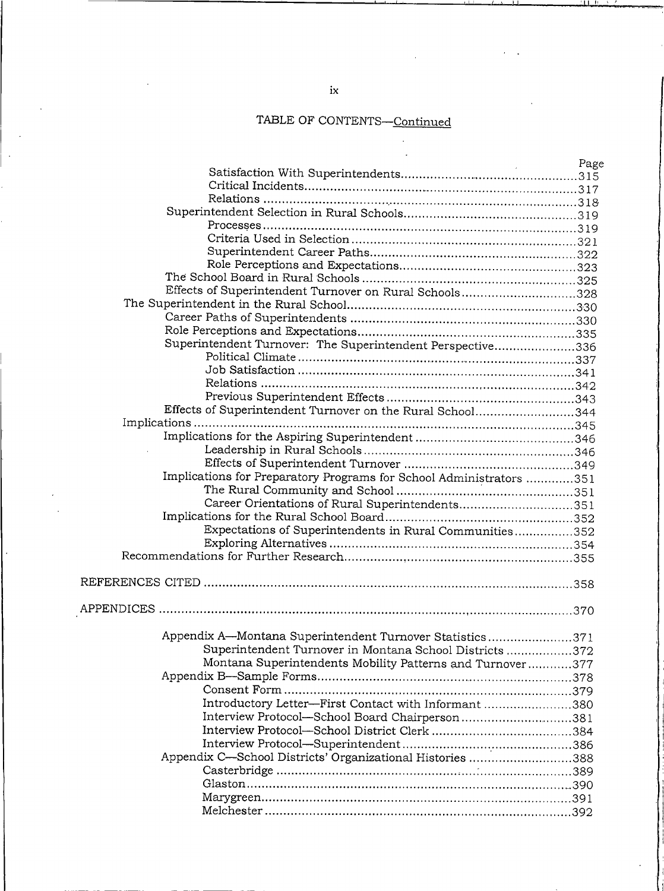|                                                                     | Page |
|---------------------------------------------------------------------|------|
|                                                                     |      |
|                                                                     |      |
|                                                                     |      |
|                                                                     |      |
|                                                                     |      |
|                                                                     |      |
|                                                                     |      |
|                                                                     |      |
|                                                                     |      |
| Effects of Superintendent Turnover on Rural Schools328              |      |
|                                                                     |      |
|                                                                     |      |
|                                                                     |      |
| Superintendent Turnover: The Superintendent Perspective336          |      |
|                                                                     |      |
|                                                                     |      |
|                                                                     |      |
|                                                                     |      |
| Effects of Superintendent Turnover on the Rural School344           |      |
|                                                                     |      |
|                                                                     |      |
|                                                                     |      |
|                                                                     |      |
|                                                                     |      |
| Implications for Preparatory Programs for School Administrators 351 |      |
|                                                                     |      |
| Career Orientations of Rural Superintendents351                     |      |
|                                                                     |      |
| Expectations of Superintendents in Rural Communities352             |      |
|                                                                     |      |
|                                                                     |      |
|                                                                     |      |
|                                                                     |      |
|                                                                     |      |
| Appendix A-Montana Superintendent Turnover Statistics371            |      |
| Superintendent Turnover in Montana School Districts 372             |      |
| Montana Superintendents Mobility Patterns and Turnover377           |      |
|                                                                     |      |
|                                                                     |      |
| Introductory Letter-First Contact with Informant 380                |      |
|                                                                     |      |
| Interview Protocol-School Board Chairperson381                      |      |
|                                                                     |      |
|                                                                     |      |
| Appendix C—School Districts' Organizational Histories 388           |      |
|                                                                     |      |
|                                                                     |      |
|                                                                     |      |
|                                                                     |      |

 $\overline{\phantom{a}}$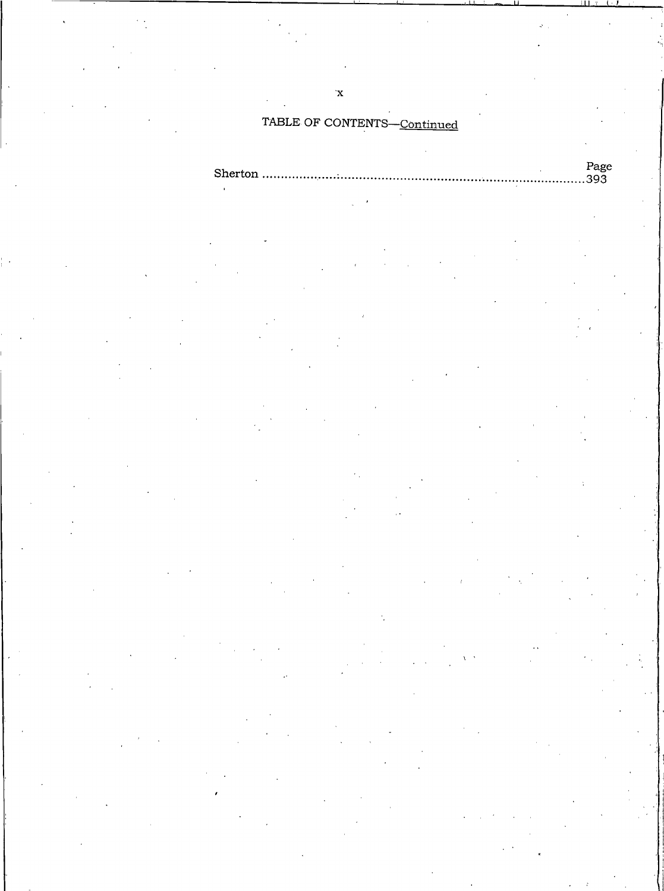$\mathbf{x}^{\prime}$ 

| יס פי |
|-------|
|       |
|       |
|       |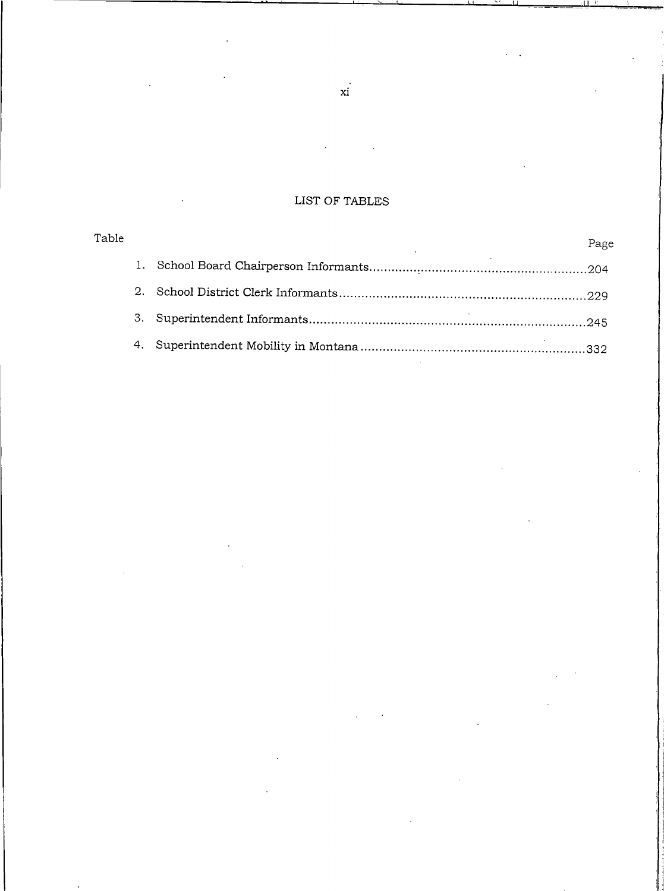# LIST OF TABLES

| Table |       | Page |
|-------|-------|------|
|       |       |      |
|       | $2 -$ |      |
|       | 3.    |      |
|       |       |      |

 $xi$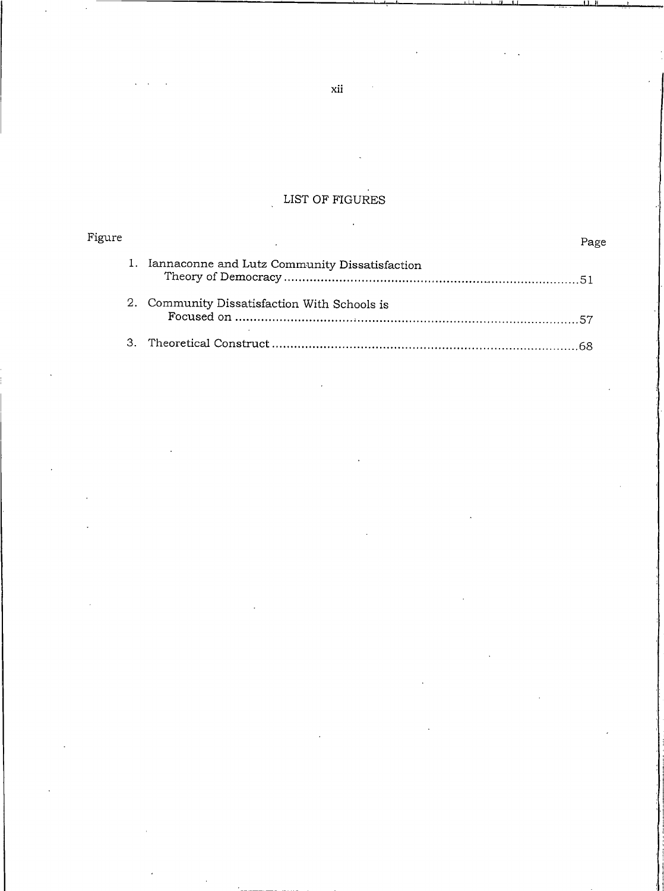# LIST OF FIGURES

| Figure        |                                                  | Page |
|---------------|--------------------------------------------------|------|
|               | 1. Iannaconne and Lutz Community Dissatisfaction |      |
|               | 2. Community Dissatisfaction With Schools is     |      |
| $\mathcal{B}$ |                                                  |      |

 $\bar{.}$ 

 $xii$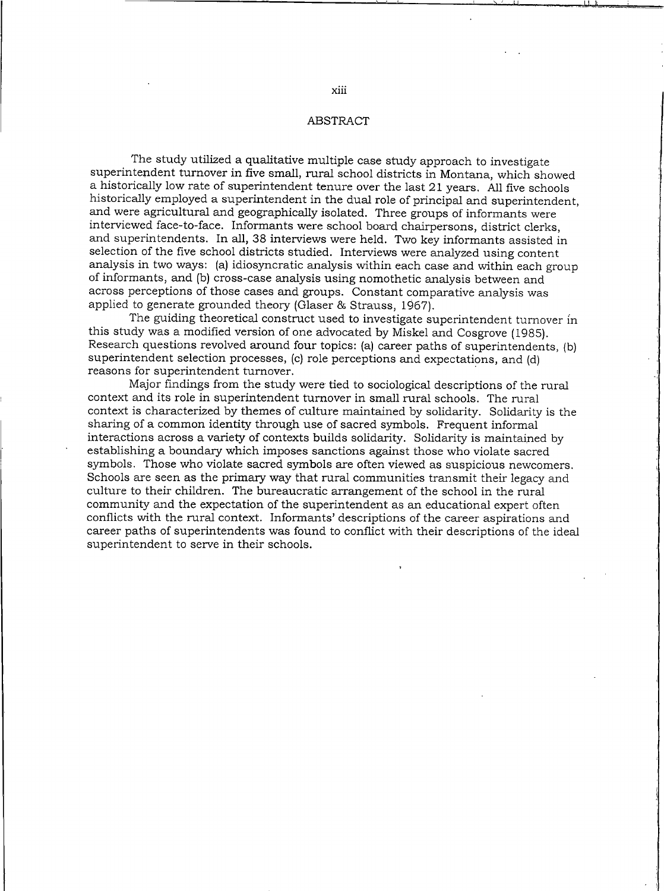#### ABSTRACT

The study utilized a qualitative multiple case study approach to investigate superintendent turnover in five small, rural school districts in Montana, which showed a historically low rate of superintendent tenure over the last 21 years. All five schools historically employed a superintendent in the dual role of principal and superintendent, and were agricultural and geographically isolated. Three groups of informants were interviewed face-to-face. Informants were school board chairpersons, district clerks, and superintendents. In all, 38 interviews were held. Two key informants assisted in selection of the five school districts studied. Interviews were analyzed using content analysis in two ways: (a) idiosyncratic analysis within each case and within each group of informants, and (b) cross-case analysis using nomothetic analysis between and across perceptions of those cases and groups. Constant comparative analysis was applied to generate grounded theory (Glaser & Strauss, 1967).

The guiding theoretical construct used to investigate superintendent turnover in this study was a modified version of one advocated by Miskel and Cosgrove (1985). Research questions revolved around four topics: (a) career paths of superintendents, (b) superintendent selection processes, (c) role perceptions and expectations, and (d) reasons for superintendent turnover.

Major findings from the study were tied to sociological descriptions of the rural context and its role in superintendent turnover in small rural schools. The rural context is characterized by themes of culture maintained by solidarity. Solidarity is the sharing of a common identity through use of sacred symbols. Frequent informal interactions across a variety of contexts builds solidarity. Solidarity is maintained by establishing a boundary which imposes sanctions against those who violate sacred symbols. Those who violate sacred symbols are often viewed as suspicious newcomers. Schools are seen as the primary way that rural communities transmit their legacy and culture to their children. The bureaucratic arrangement of the school in the rural community and the expectation of the superintendent as an educational expert often conflicts with the rural context. Informants' descriptions of the career aspirations and career paths of superintendents was found to conflict with their descriptions of the ideal superintendent to serve in their schools.

xiii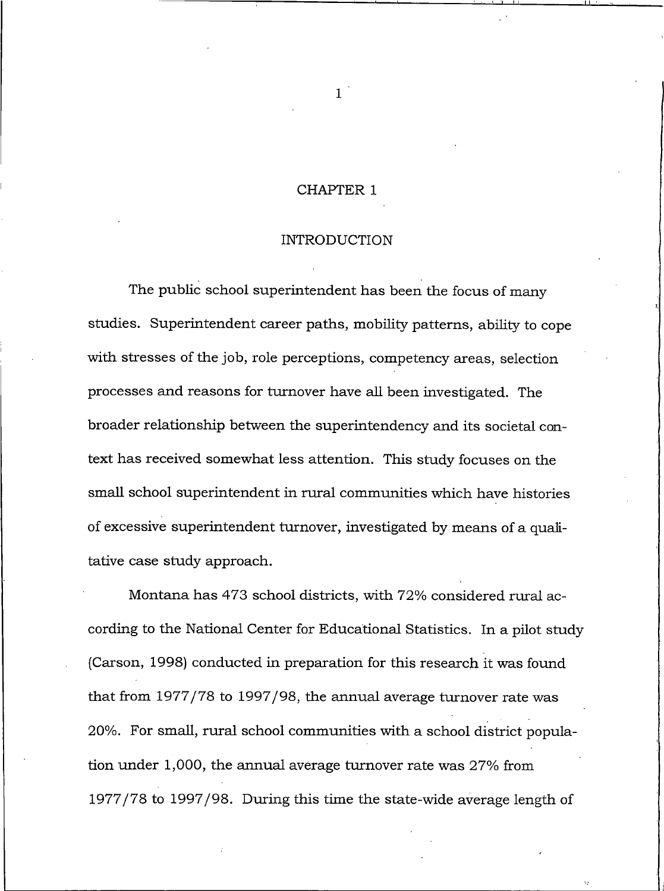# **CHAPTER 1**

#### **INTRODUCTION**

<span id="page-14-0"></span>The public school superintendent has been the focus of many studies. Superintendent career paths, mobility patterns, ability to cope with stresses of the job, role perceptions, competency areas, selection processes and reasons for turnover have all been investigated. The broader relationship between the superintendency and its societal context has received somewhat less attention. This study focuses on the small school superintendent in rural communities which have histories of excessive superintendent turnover, investigated by means of a qualitative case study approach.

Montana has 473 school districts, with 72% considered rural according to the National Center for Educational Statistics. In a pilot study (Carson, 1998) conducted in preparation for this research it was found that from 1977/78 to 1997/98, the annual average turnover rate was 20%. For small, rural school communities with a school district population under 1,000, the annual average turnover rate was 27% from 1977/78 to 1997/98. During this time the state-wide average length of

 $\mathbf{1}$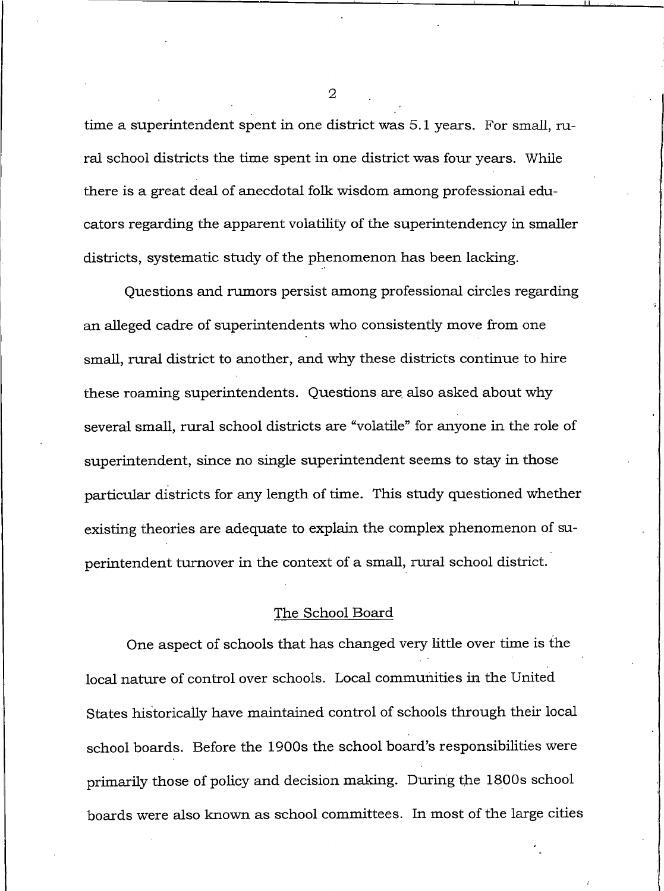time a superintendent spent in one district was 5.1 years. For small, rural school districts the time spent in one district was four years. While there is a great deal of anecdotal folk wisdom among professional educators regarding the apparent volatility of the superintendency in smaller districts, systematic study of the phenomenon has been lacking.

Questions and rumors persist among professional circles regarding an alleged cadre of superintendents who consistently move from one small, rural district to another, and why these districts continue to hire these roaming superintendents. Questions are also asked about why several small, rural school districts are "volatile" for anyone in the role of superintendent, since no single superintendent seems to stay in those particular districts for any length of time. This study questioned whether existing theories are adequate to explain the complex phenomenon of superintendent turnover in the context of a small, rural school district.

#### The School Board

One aspect of schools that has changed very little over time is the local nature of control over schools. Local communities in the United States historically have maintained control of schools through their local school boards. Before the 1900s the school board's responsibilities were primarily those of policy and decision making. During the 1800s school boards were also known as school committees. In most of the large cities

 $\overline{2}$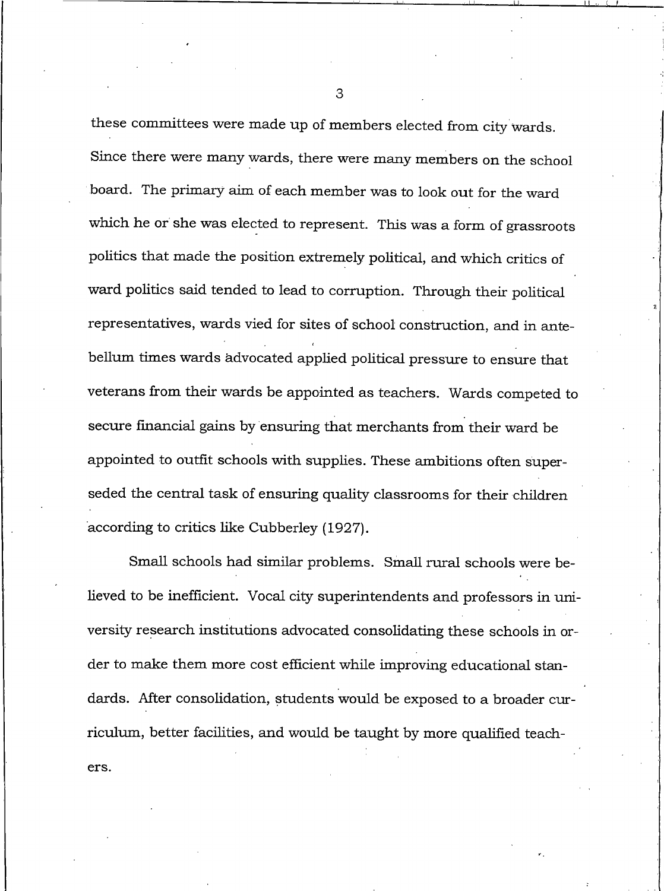these committees were made up of members elected from city wards. Since there were many wards, there were many members on the school board. The primary aim of each member was to look out for the ward which he or she was elected to represent. This was a form of grassroots politics that made the position extremely political, and which critics of ward politics said tended to lead to corruption. Through their political representatives, wards vied for sites of school construction, and in antebellum times wards advocated applied political pressure to ensure that veterans from their wards be appointed as teachers. Wards competed to secure financial gains by ensuring that merchants from their ward be appointed to outfit schools with supplies. These ambitions often superseded the central task of ensuring quality classrooms for their children according to critics like Cubberley (1927).

Small schools had similar problems. Small rural schools were believed to be inefficient. Vocal city superintendents and professors in university research institutions advocated consolidating these schools in order to make them more cost efficient while improving educational standards. After consolidation, students would be exposed to a broader curriculum, better facilities, and would be taught by more qualified teachers.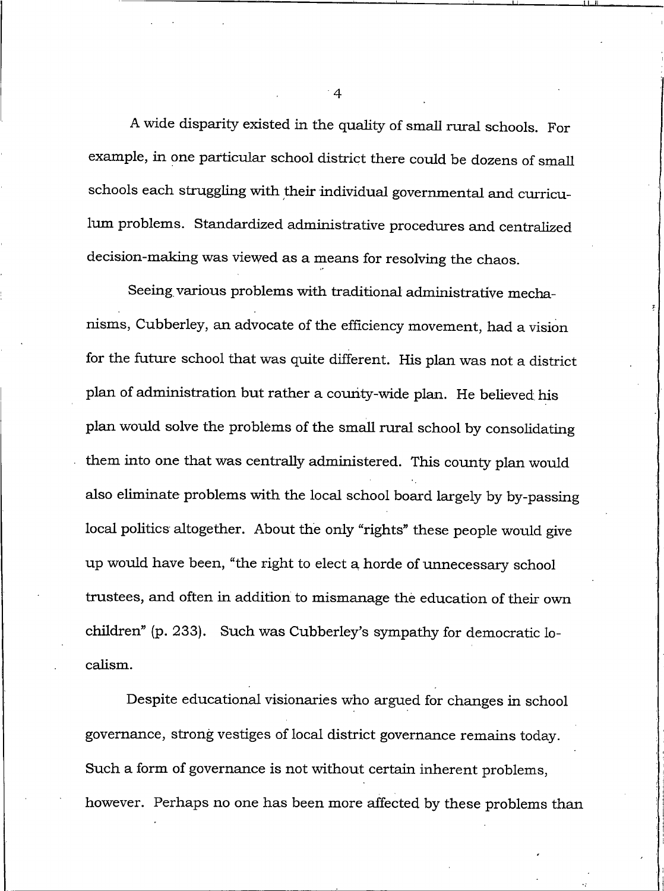A wide disparity existed in the quality of small rural schools. For example, in one particular school district there could be dozens of small schools each struggling with their individual governmental and curriculum problems. Standardized administrative procedures and centralized decision-making was viewed as a means for resolving the chaos.

Seeing various problems with traditional administrative mechanisms, Cubberley, an advocate of the efficiency movement, had a vision for the future school that was quite different. His plan was not a district plan of administration but rather a county-wide plan. He believed his plan would solve the problems of the small rural school by consolidating them into one that was centrally administered. This county plan would also eliminate problems with the local school board largely by by-passing local politics altogether. About the only "rights" these people would give up would have been, "the right to elect a horde of unnecessary school trustees, and often in addition to mismanage the education of their own children" (p. 233). Such was Cubberley's sympathy for democratic localism.

Despite educational visionaries who argued for changes in school governance, strong vestiges of local district governance remains today. Such a form of governance is not without certain inherent problems, however. Perhaps no one has been more affected by these problems than

 $\overline{4}$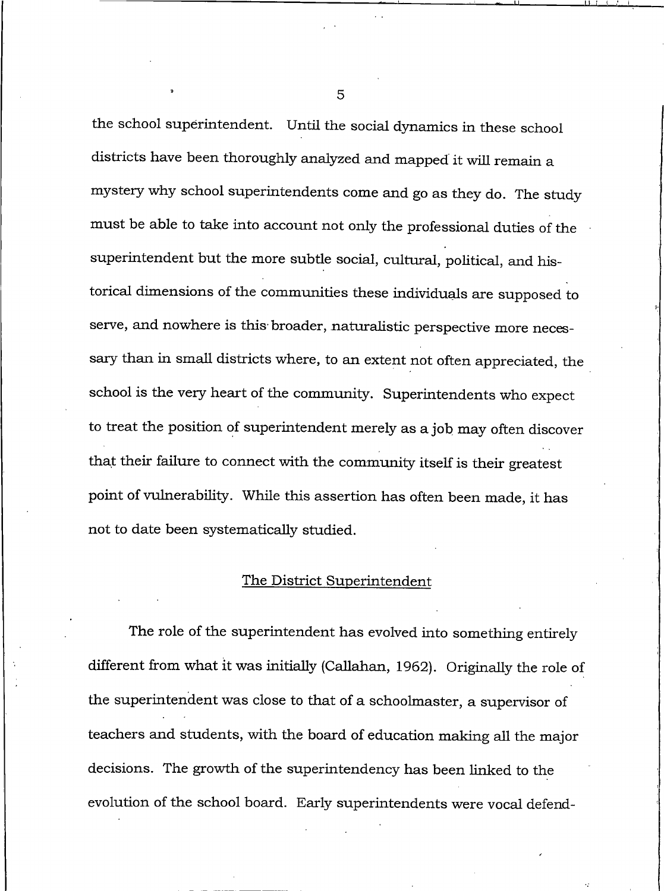the school superintendent. Until the social dynamics in these school districts have been thoroughly analyzed and mapped it will remain a mystery why school superintendents come and go as they do. The study must be able to take into account not only the professional duties of the superintendent but the more subtle social, cultural, political, and historical dimensions of the communities these individuals are supposed to serve, and nowhere is this broader, naturalistic perspective more necessary than in small districts where, to an extent not often appreciated, the school is the very heart of the community. Superintendents who expect to treat the position of superintendent merely as a job may often discover that their failure to connect with the community itself is their greatest point of vulnerability. While this assertion has often been made, it has not to date been systematically studied.

#### The District Superintendent

The role of the superintendent has evolved into something entirely different from what it was initially (Callahan, 1962). Originally the role of the superintendent was close to that of a schoolmaster, a supervisor of teachers and students, with the board of education making all the major decisions. The growth of the superintendency has been linked to the evolution of the school board. Early superintendents were vocal defend-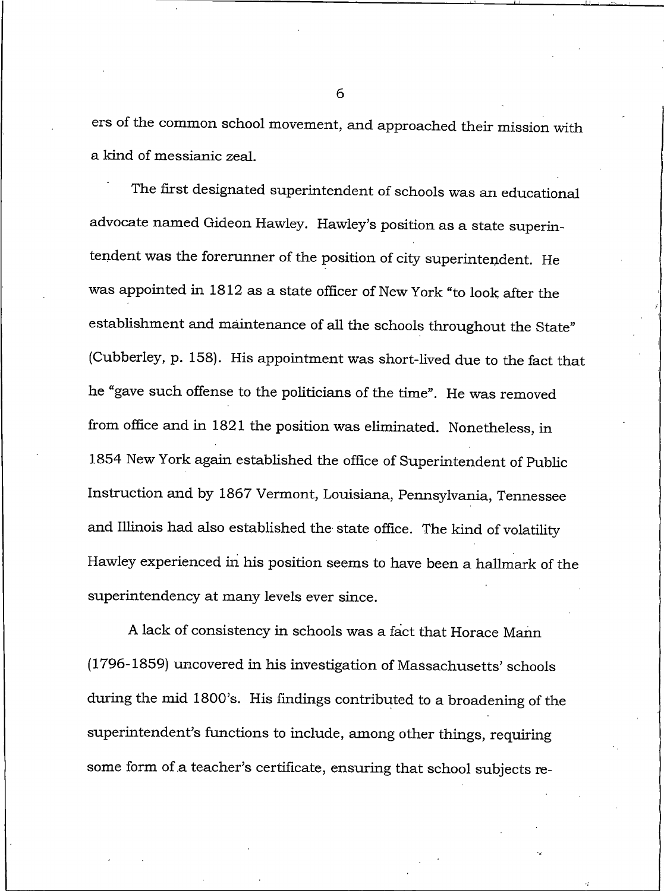ers of the common school movement, and approached their mission with a kind of messianic zeal.

The first designated superintendent of schools was an educational advocate named Gideon Hawley. Hawley's position as a state superintendent was the forerunner of the position of city superintendent. He was appointed in 1812 as a state officer of New York "to look after the establishment and maintenance of all the schools throughout the State" (Cubberley, p. 158). His appointment was short-lived due to the fact that he "gave such offense to the politicians of the time". He was removed from office and in 1821 the position was eliminated. Nonetheless, in 1854 New York again established the office of Superintendent of Public Instruction and by 1867 Vermont, Louisiana, Pennsylvania, Tennessee and Illinois had also established the state office. The kind of volatility Hawley experienced in his position seems to have been a hallmark of the superintendency at many levels ever since.

A lack of consistency in schools was a fact that Horace Mann (1796-1859) uncovered in his investigation of Massachusetts' schools during the mid 1800's. His findings contributed to a broadening of the superintendent's functions to include, among other things, requiring some form of a teacher's certificate, ensuring that school subjects re-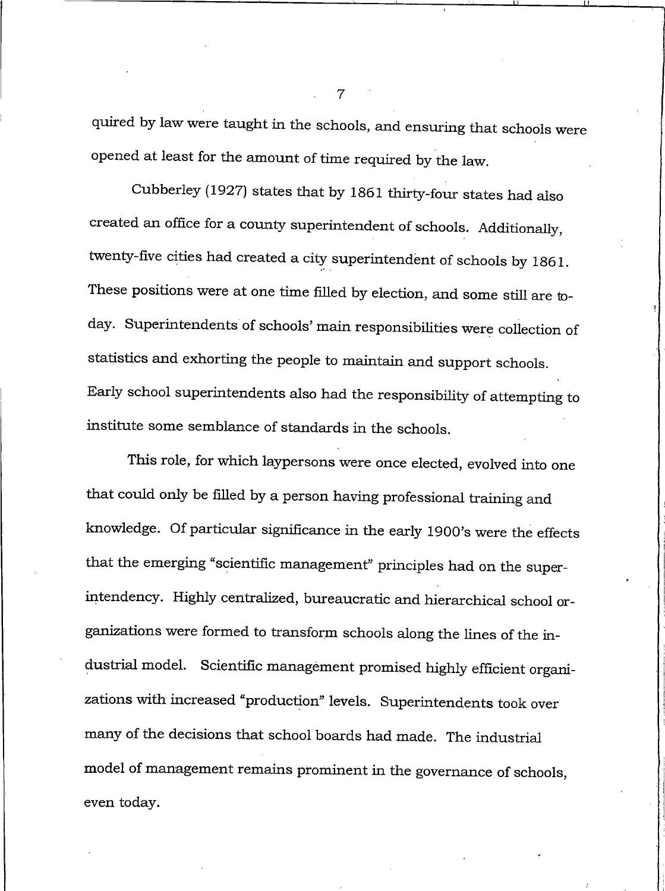quired by law were taught in the schools, and ensuring that schools were opened at least for the amount of time required by the law.

Cubberley (1927) states that by 1861 thirty-four states had also created an office for a county superintendent of schools. Additionally, twenty-five cities had created a city superintendent of schools by 1861. These positions were at one time filled by election, and some still are today. Superintendents of schools' main responsibilities were collection of statistics and exhorting the people to maintain and support schools. Early school superintendents also had the responsibility of attempting to institute some semblance of standards in the schools.

This role, for which laypersons were once elected, evolved into one that could only be filled by a person having professional training and knowledge. Of particular significance in the early 1900's were the effects that the emerging "scientific management" principles had on the superintendency. Highly centralized, bureaucratic and hierarchical school organizations were formed to transform schools along the lines of the industrial model. Scientific management promised highly efficient organizations with increased "production" levels. Superintendents took over many of the decisions that school boards had made. The industrial model of management remains prominent in the governance of schools, even today.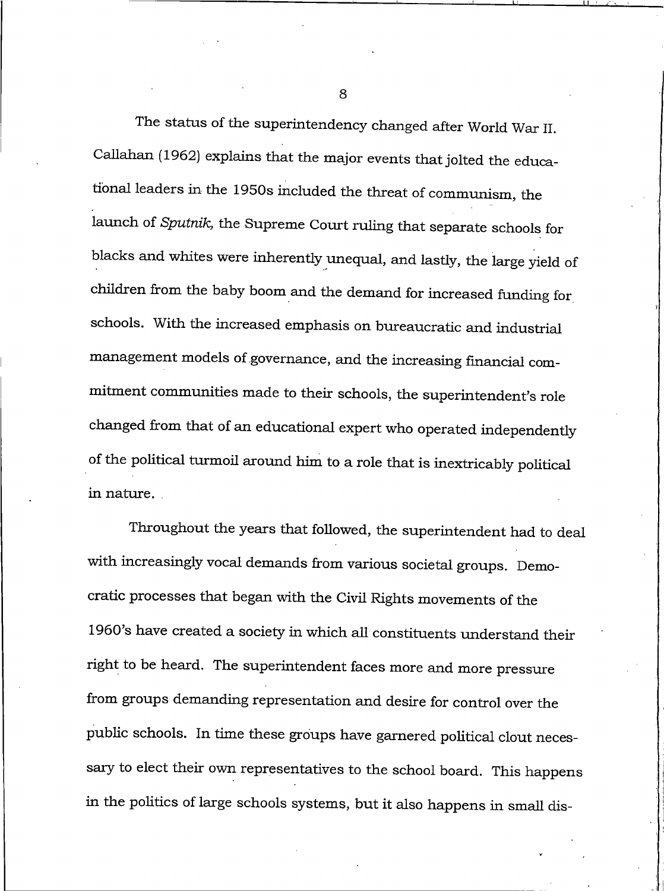The status of the superintendency changed after World War II. Callahan (1962) explains that the major events that jolted the educational leaders in the 1950s included the threat of communism, the launch of Sputnik, the Supreme Court ruling that separate schools for blacks and whites were inherently unequal, and lastly, the large yield of children from the baby boom and the demand for increased funding for schools. With the increased emphasis on bureaucratic and industrial management models of governance, and the increasing financial commitment communities made to their schools, the superintendent's role changed from that of an educational expert who operated independently of the political turmoil around him to a role that is inextricably political in nature.

Throughout the years that followed, the superintendent had to deal with increasingly vocal demands from various societal groups. Democratic processes that began with the Civil Rights movements of the 1960's have created a society in which all constituents understand their right to be heard. The superintendent faces more and more pressure from groups demanding representation and desire for control over the public schools. In time these groups have garnered political clout necessary to elect their own representatives to the school board. This happens in the politics of large schools systems, but it also happens in small dis-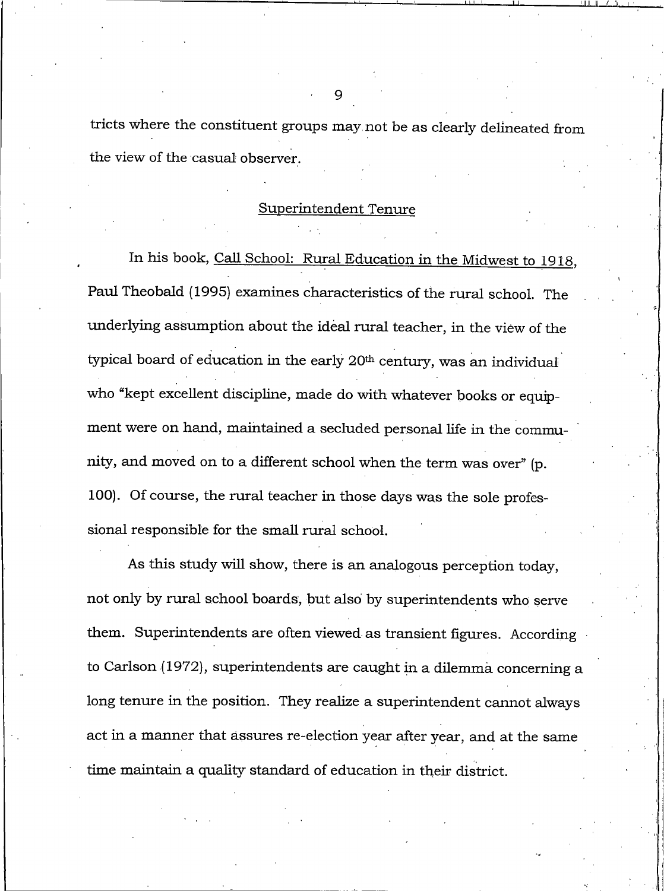tricts where the constituent groups may not be as clearly delineated from the view of the casual observer.

#### Superintendent Tenure

In his book, Call School: Rural Education in the Midwest to 1918, Paul Theobald (1995) examines characteristics of the rural school. The underlying assumption about the ideal rural teacher, in the view of the typical board of education in the early 20<sup>th</sup> century, was an individual who "kept excellent discipline, made do with whatever books or equipment were on hand, maintained a secluded personal life in the community, and moved on to a different school when the term was over" (p. 100). Of course, the rural teacher in those days was the sole professional responsible for the small rural school.

As this study will show, there is an analogous perception today, not only by rural school boards, but also by superintendents who serve them. Superintendents are often viewed as transient figures. According to Carlson (1972), superintendents are caught in a dilemma concerning a long tenure in the position. They realize a superintendent cannot always act in a manner that assures re-election year after year, and at the same time maintain a quality standard of education in their district.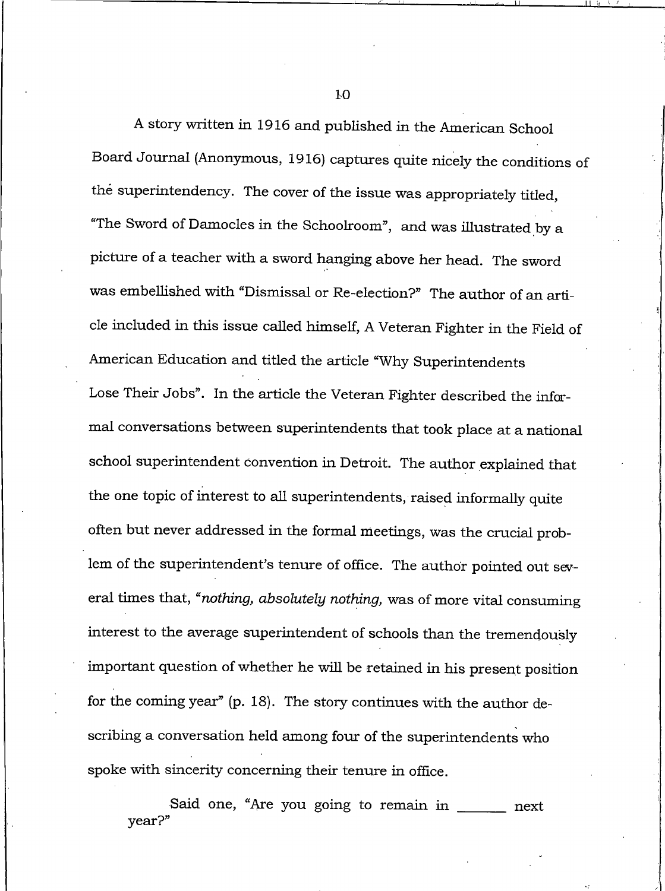A story written in 1916 and published in the American School Board Journal (Anonymous, 1916) captures quite nicely the conditions of the superintendency. The cover of the issue was appropriately titled, "The Sword of Damocles in the Schoolroom", and was illustrated by a picture of a teacher with a sword hanging above her head. The sword was embellished with "Dismissal or Re-election?" The author of an article included in this issue called himself, A Veteran Fighter in the Field of American Education and titled the article "Why Superintendents Lose Their Jobs". In the article the Veteran Fighter described the informal conversations between superintendents that took place at a national school superintendent convention in Detroit. The author explained that the one topic of interest to all superintendents, raised informally quite often but never addressed in the formal meetings, was the crucial problem of the superintendent's tenure of office. The author pointed out several times that, "nothing, absolutely nothing, was of more vital consuming interest to the average superintendent of schools than the tremendously important question of whether he will be retained in his present position for the coming year" (p. 18). The story continues with the author describing a conversation held among four of the superintendents who spoke with sincerity concerning their tenure in office.

Said one, "Are you going to remain in \_ next  $year?$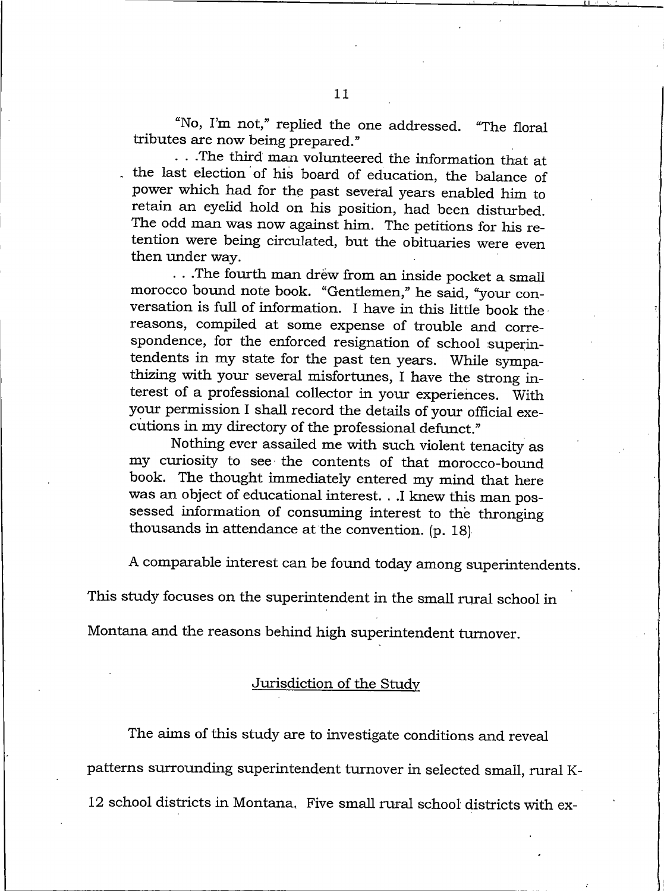"No, I'm not," replied the one addressed. "The floral tributes are now being prepared."

...The third man volunteered the information that at the last election of his board of education, the balance of power which had for the past several years enabled him to retain an eyelid hold on his position, had been disturbed. The odd man was now against him. The petitions for his retention were being circulated, but the obituaries were even then under way.

...The fourth man drew from an inside pocket a small morocco bound note book. "Gentlemen," he said, "your conversation is full of information. I have in this little book the reasons, compiled at some expense of trouble and correspondence, for the enforced resignation of school superintendents in my state for the past ten years. While sympathizing with your several misfortunes, I have the strong interest of a professional collector in your experiences. With your permission I shall record the details of your official executions in my directory of the professional defunct."

Nothing ever assailed me with such violent tenacity as my curiosity to see the contents of that morocco-bound book. The thought immediately entered my mind that here was an object of educational interest. . .I knew this man possessed information of consuming interest to the thronging thousands in attendance at the convention. (p. 18)

A comparable interest can be found today among superintendents.

This study focuses on the superintendent in the small rural school in

Montana and the reasons behind high superintendent turnover.

Jurisdiction of the Study

The aims of this study are to investigate conditions and reveal

patterns surrounding superintendent turnover in selected small, rural K-

12 school districts in Montana. Five small rural school districts with ex-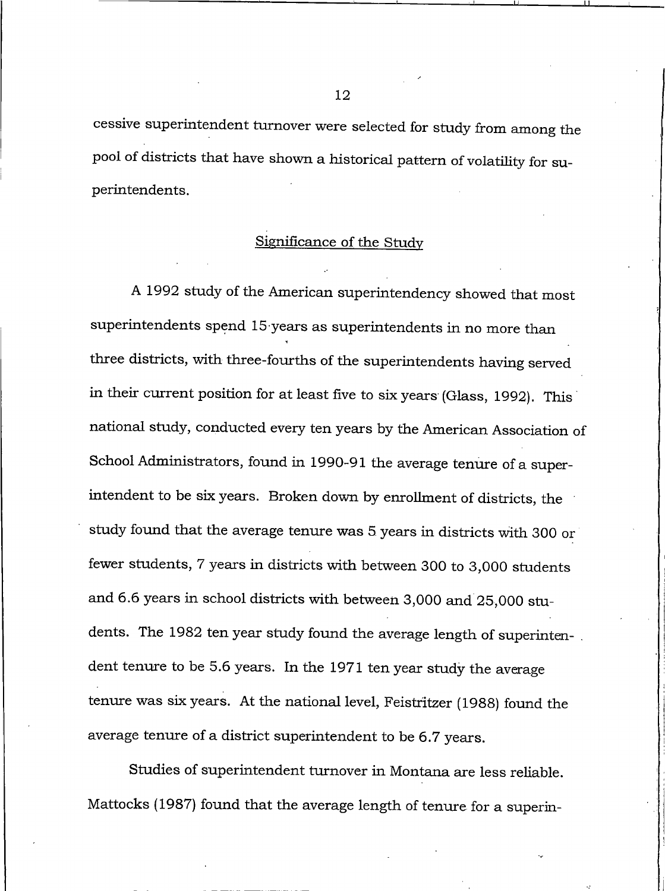cessive superintendent turnover were selected for study from among the pool of districts that have shown a historical pattern of volatility for superintendents.

#### Significance of the Study

A 1992 study of the American superintendency showed that most superintendents spend 15 years as superintendents in no more than three districts, with three-fourths of the superintendents having served in their current position for at least five to six years (Glass, 1992). This national study, conducted every ten years by the American Association of School Administrators, found in 1990-91 the average tenure of a superintendent to be six years. Broken down by enrollment of districts, the study found that the average tenure was 5 years in districts with 300 or fewer students, 7 years in districts with between 300 to 3,000 students and 6.6 years in school districts with between 3,000 and 25,000 students. The 1982 ten year study found the average length of superintendent tenure to be 5.6 years. In the 1971 ten year study the average tenure was six years. At the national level, Feistritzer (1988) found the average tenure of a district superintendent to be 6.7 years.

Studies of superintendent turnover in Montana are less reliable. Mattocks (1987) found that the average length of tenure for a superin-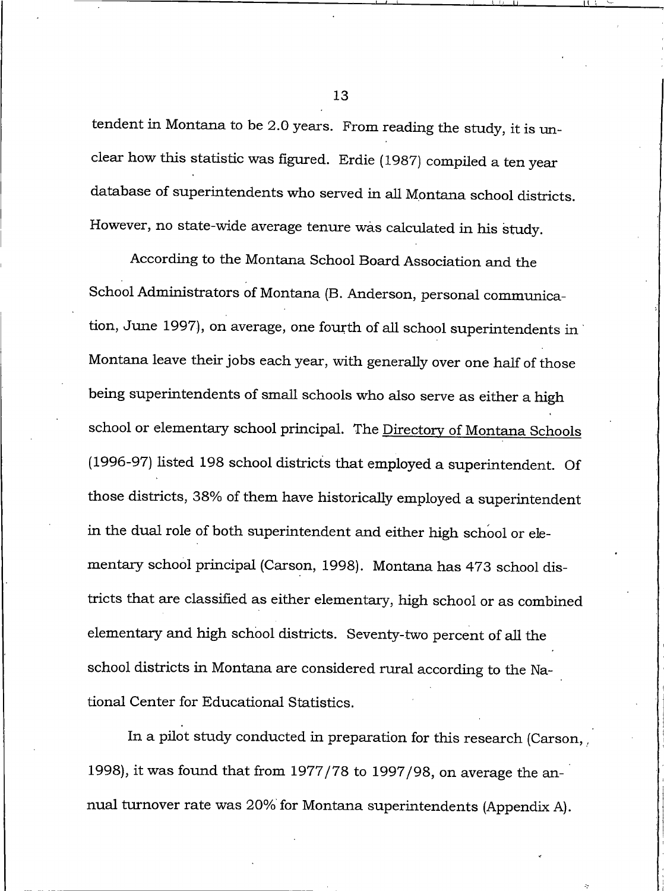tendent in Montana to be 2.0 years. From reading the study, it is unclear how this statistic was figured. Erdie (1987) compiled a ten year database of superintendents who served in all Montana school districts. However, no state-wide average tenure was calculated in his study.

According to the Montana School Board Association and the School Administrators of Montana (B. Anderson, personal communication, June 1997), on average, one fourth of all school superintendents in Montana leave their jobs each year, with generally over one half of those being superintendents of small schools who also serve as either a high school or elementary school principal. The Directory of Montana Schools (1996-97) listed 198 school districts that employed a superintendent. Of those districts, 38% of them have historically employed a superintendent in the dual role of both superintendent and either high school or elementary school principal (Carson, 1998). Montana has 473 school districts that are classified as either elementary, high school or as combined elementary and high school districts. Seventy-two percent of all the school districts in Montana are considered rural according to the National Center for Educational Statistics.

In a pilot study conducted in preparation for this research (Carson, 1998), it was found that from 1977/78 to 1997/98, on average the annual turnover rate was 20% for Montana superintendents (Appendix A).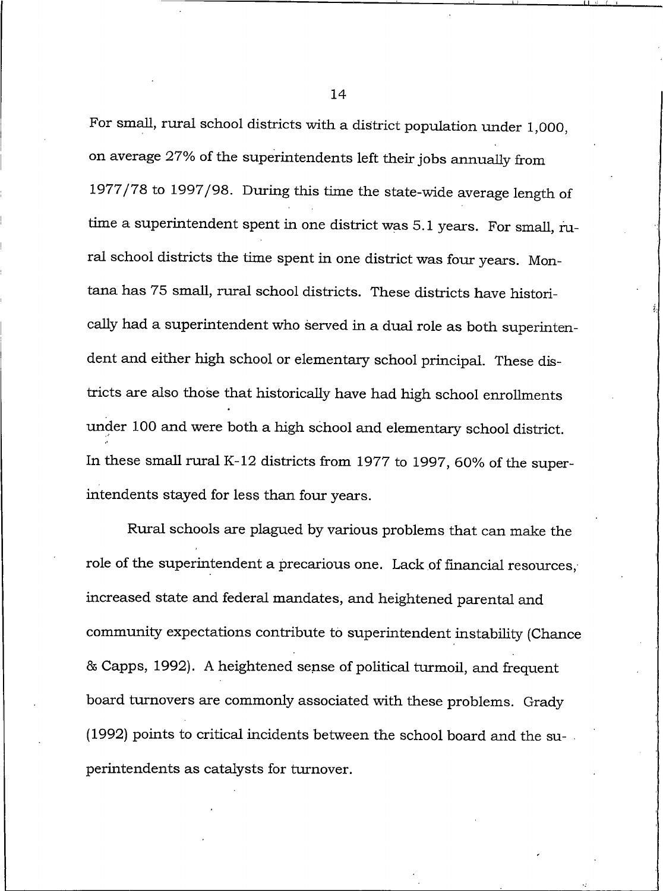For small, rural school districts with a district population under 1,000, on average 27% of the superintendents left their jobs annually from 1977/78 to 1997/98. During this time the state-wide average length of time a superintendent spent in one district was 5.1 years. For small, rural school districts the time spent in one district was four years. Montana has 75 small, rural school districts. These districts have historically had a superintendent who served in a dual role as both superintendent and either high school or elementary school principal. These districts are also those that historically have had high school enrollments under 100 and were both a high school and elementary school district. In these small rural K-12 districts from 1977 to 1997, 60% of the superintendents stayed for less than four years.

Rural schools are plagued by various problems that can make the role of the superintendent a precarious one. Lack of financial resources, increased state and federal mandates, and heightened parental and community expectations contribute to superintendent instability (Chance & Capps, 1992). A heightened sense of political turmoil, and frequent board turnovers are commonly associated with these problems. Grady (1992) points to critical incidents between the school board and the superintendents as catalysts for turnover.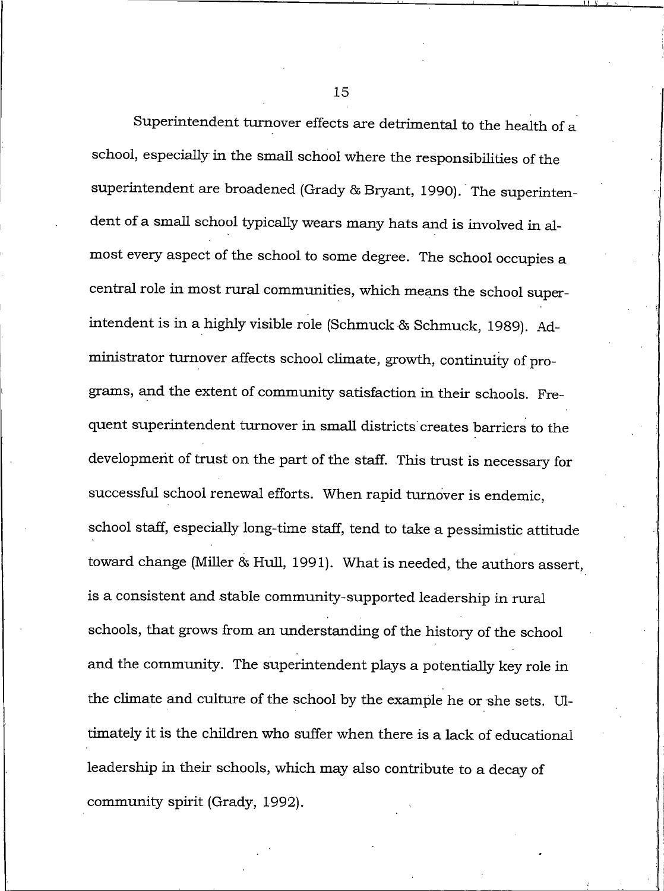Superintendent turnover effects are detrimental to the health of a school, especially in the small school where the responsibilities of the superintendent are broadened (Grady & Bryant, 1990). The superintendent of a small school typically wears many hats and is involved in almost every aspect of the school to some degree. The school occupies a central role in most rural communities, which means the school superintendent is in a highly visible role (Schmuck & Schmuck, 1989). Administrator turnover affects school climate, growth, continuity of programs, and the extent of community satisfaction in their schools. Frequent superintendent turnover in small districts creates barriers to the development of trust on the part of the staff. This trust is necessary for successful school renewal efforts. When rapid turnover is endemic, school staff, especially long-time staff, tend to take a pessimistic attitude toward change (Miller & Hull, 1991). What is needed, the authors assert, is a consistent and stable community-supported leadership in rural schools, that grows from an understanding of the history of the school and the community. The superintendent plays a potentially key role in the climate and culture of the school by the example he or she sets. Ultimately it is the children who suffer when there is a lack of educational leadership in their schools, which may also contribute to a decay of community spirit (Grady, 1992).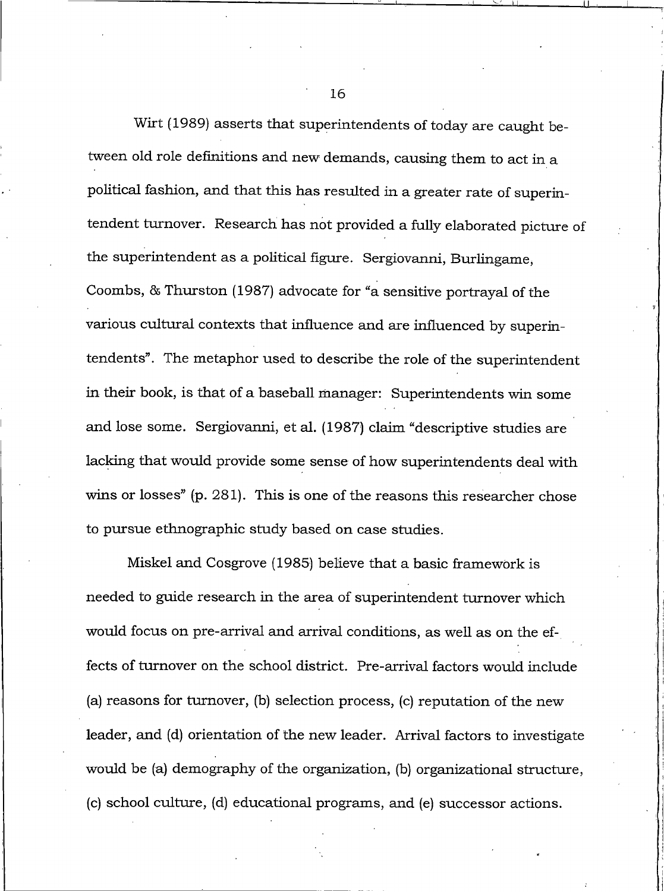Wirt (1989) asserts that superintendents of today are caught between old role definitions and new demands, causing them to act in a political fashion, and that this has resulted in a greater rate of superintendent turnover. Research has not provided a fully elaborated picture of the superintendent as a political figure. Sergiovanni, Burlingame, Coombs, & Thurston (1987) advocate for "a sensitive portraval of the various cultural contexts that influence and are influenced by superintendents". The metaphor used to describe the role of the superintendent in their book, is that of a baseball manager: Superintendents win some and lose some. Sergiovanni, et al. (1987) claim "descriptive studies are lacking that would provide some sense of how superintendents deal with wins or losses" (p. 281). This is one of the reasons this researcher chose to pursue ethnographic study based on case studies.

Miskel and Cosgrove (1985) believe that a basic framework is needed to guide research in the area of superintendent turnover which would focus on pre-arrival and arrival conditions, as well as on the effects of turnover on the school district. Pre-arrival factors would include (a) reasons for turnover, (b) selection process, (c) reputation of the new leader, and (d) orientation of the new leader. Arrival factors to investigate would be (a) demography of the organization, (b) organizational structure, (c) school culture, (d) educational programs, and (e) successor actions.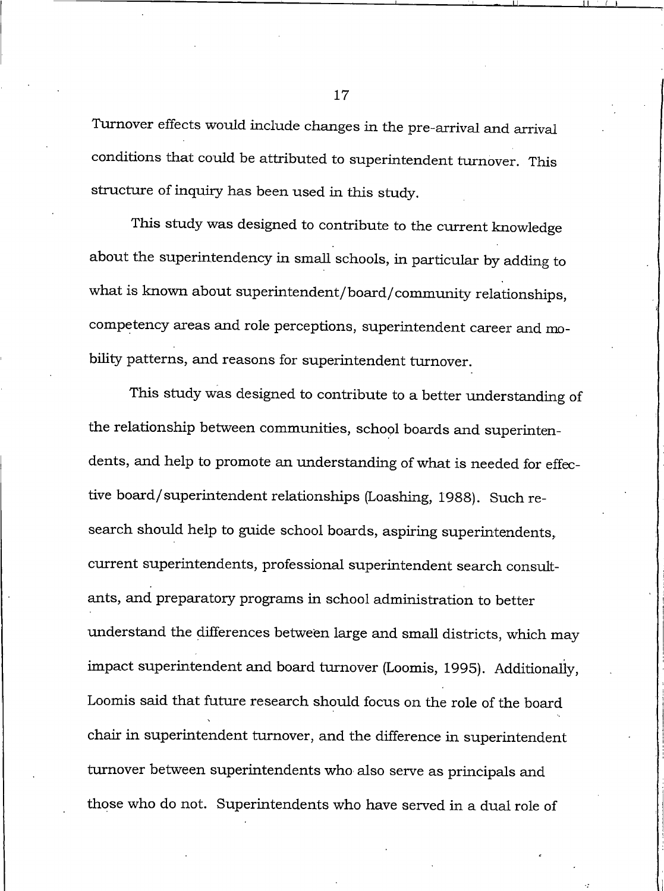Turnover effects would include changes in the pre-arrival and arrival conditions that could be attributed to superintendent turnover. This structure of inquiry has been used in this study.

This study was designed to contribute to the current knowledge about the superintendency in small schools, in particular by adding to what is known about superintendent/board/community relationships, competency areas and role perceptions, superintendent career and mobility patterns, and reasons for superintendent turnover.

This study was designed to contribute to a better understanding of the relationship between communities, school boards and superintendents, and help to promote an understanding of what is needed for effective board/superintendent relationships (Loashing, 1988). Such research should help to guide school boards, aspiring superintendents, current superintendents, professional superintendent search consultants, and preparatory programs in school administration to better understand the differences between large and small districts, which may impact superintendent and board turnover (Loomis, 1995). Additionally, Loomis said that future research should focus on the role of the board chair in superintendent turnover, and the difference in superintendent turnover between superintendents who also serve as principals and those who do not. Superintendents who have served in a dual role of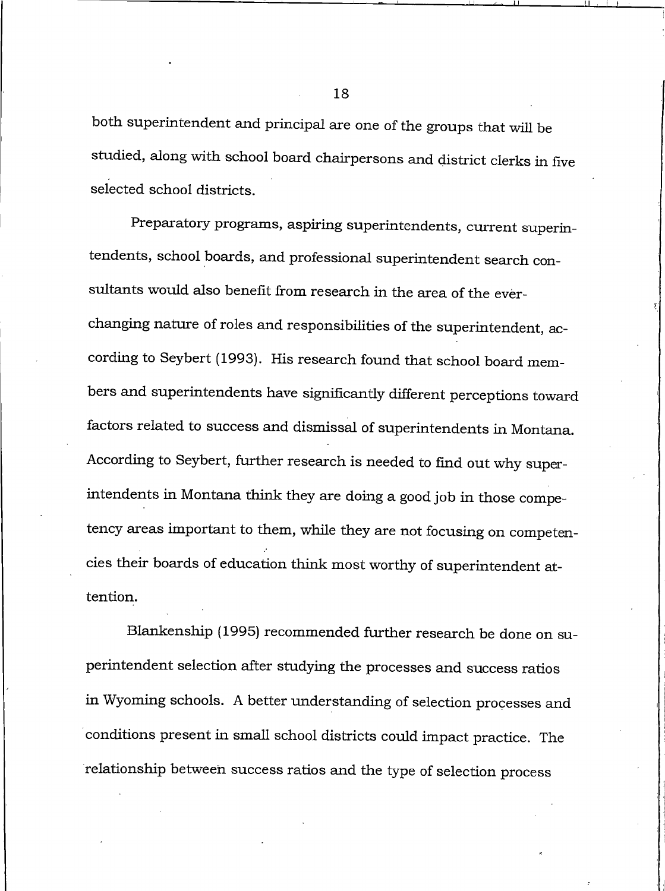both superintendent and principal are one of the groups that will be studied, along with school board chairpersons and district clerks in five selected school districts.

Preparatory programs, aspiring superintendents, current superintendents, school boards, and professional superintendent search consultants would also benefit from research in the area of the everchanging nature of roles and responsibilities of the superintendent, according to Seybert (1993). His research found that school board members and superintendents have significantly different perceptions toward factors related to success and dismissal of superintendents in Montana. According to Seybert, further research is needed to find out why superintendents in Montana think they are doing a good job in those competency areas important to them, while they are not focusing on competencies their boards of education think most worthy of superintendent attention.

Blankenship (1995) recommended further research be done on superintendent selection after studying the processes and success ratios in Wyoming schools. A better understanding of selection processes and conditions present in small school districts could impact practice. The relationship between success ratios and the type of selection process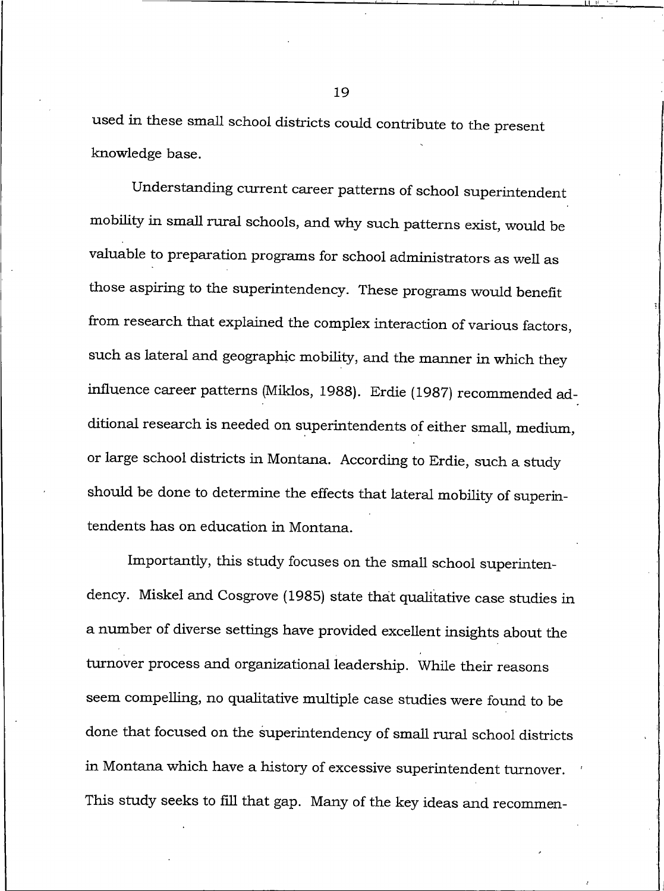used in these small school districts could contribute to the present knowledge base.

Understanding current career patterns of school superintendent mobility in small rural schools, and why such patterns exist, would be valuable to preparation programs for school administrators as well as those aspiring to the superintendency. These programs would benefit from research that explained the complex interaction of various factors, such as lateral and geographic mobility, and the manner in which they influence career patterns (Miklos, 1988). Erdie (1987) recommended additional research is needed on superintendents of either small, medium, or large school districts in Montana. According to Erdie, such a study should be done to determine the effects that lateral mobility of superintendents has on education in Montana.

Importantly, this study focuses on the small school superintendency. Miskel and Cosgrove (1985) state that qualitative case studies in a number of diverse settings have provided excellent insights about the turnover process and organizational leadership. While their reasons seem compelling, no qualitative multiple case studies were found to be done that focused on the superintendency of small rural school districts in Montana which have a history of excessive superintendent turnover. This study seeks to fill that gap. Many of the key ideas and recommen-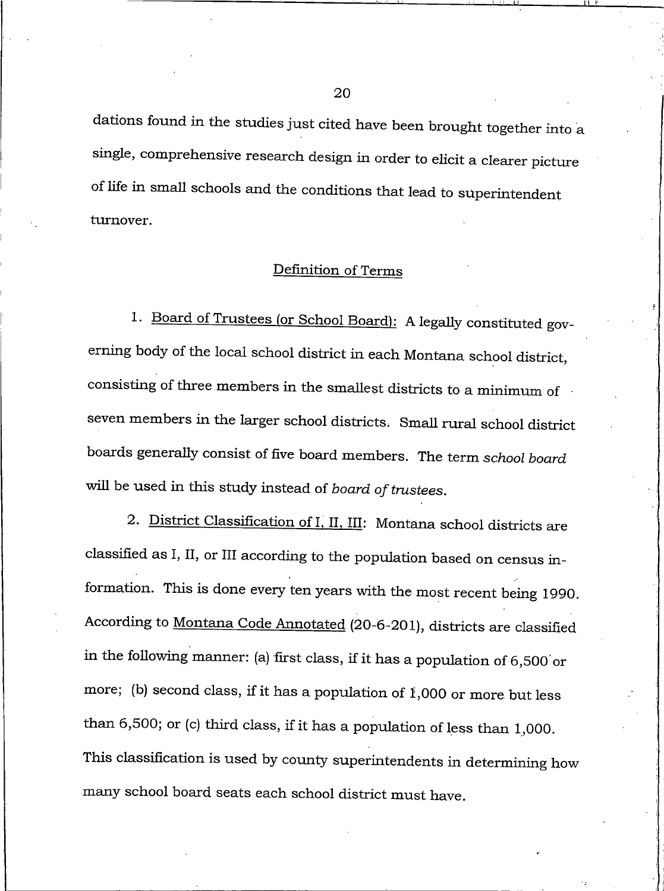dations found in the studies just cited have been brought together into a single, comprehensive research design in order to elicit a clearer picture of life in small schools and the conditions that lead to superintendent turnover.

# Definition of Terms

1. Board of Trustees (or School Board): A legally constituted governing body of the local school district in each Montana school district, consisting of three members in the smallest districts to a minimum of seven members in the larger school districts. Small rural school district boards generally consist of five board members. The term school board will be used in this study instead of board of trustees.

2. District Classification of I, II, III: Montana school districts are classified as I, II, or III according to the population based on census information. This is done every ten years with the most recent being 1990. According to Montana Code Annotated (20-6-201), districts are classified in the following manner: (a) first class, if it has a population of  $6,500$  or more; (b) second class, if it has a population of  $1,000$  or more but less than  $6,500$ ; or (c) third class, if it has a population of less than  $1,000$ . This classification is used by county superintendents in determining how many school board seats each school district must have.